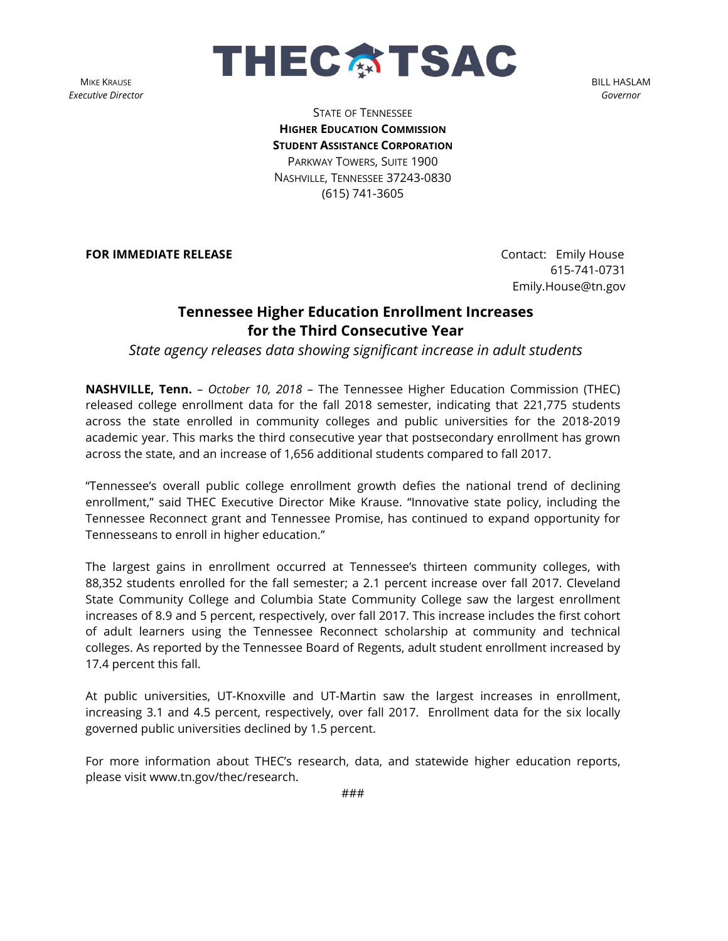**MIKE KRAUSE** *Executive Director*



BILL HASLAM *Governor*

STATE OF TENNESSEE **HIGHER EDUCATION COMMISSION STUDENT ASSISTANCE CORPORATION** PARKWAY TOWERS, SUITE 1900 NASHVILLE, TENNESSEE 37243-0830 (615) 741-3605

**FOR IMMEDIATE RELEASE CONTACT EMILY RELEASE CONTACT CONTACT CONTACT CONTACT CONTACT** 

 615-741-0731 Emily.House@tn.gov

## **Tennessee Higher Education Enrollment Increases for the Third Consecutive Year**

*State agency releases data showing significant increase in adult students*

**NASHVILLE, Tenn.** – *October 10, 2018* – The Tennessee Higher Education Commission (THEC) released college enrollment data for the fall 2018 semester, indicating that 221,775 students across the state enrolled in community colleges and public universities for the 2018-2019 academic year. This marks the third consecutive year that postsecondary enrollment has grown across the state, and an increase of 1,656 additional students compared to fall 2017.

"Tennessee's overall public college enrollment growth defies the national trend of declining enrollment," said THEC Executive Director Mike Krause. "Innovative state policy, including the Tennessee Reconnect grant and Tennessee Promise, has continued to expand opportunity for Tennesseans to enroll in higher education."

The largest gains in enrollment occurred at Tennessee's thirteen community colleges, with 88,352 students enrolled for the fall semester; a 2.1 percent increase over fall 2017. Cleveland State Community College and Columbia State Community College saw the largest enrollment increases of 8.9 and 5 percent, respectively, over fall 2017. This increase includes the first cohort of adult learners using the Tennessee Reconnect scholarship at community and technical colleges. As reported by the Tennessee Board of Regents, adult student enrollment increased by 17.4 percent this fall.

At public universities, UT-Knoxville and UT-Martin saw the largest increases in enrollment, increasing 3.1 and 4.5 percent, respectively, over fall 2017. Enrollment data for the six locally governed public universities declined by 1.5 percent.

For more information about THEC's research, data, and statewide higher education reports, please visit www.tn.gov/thec/research.